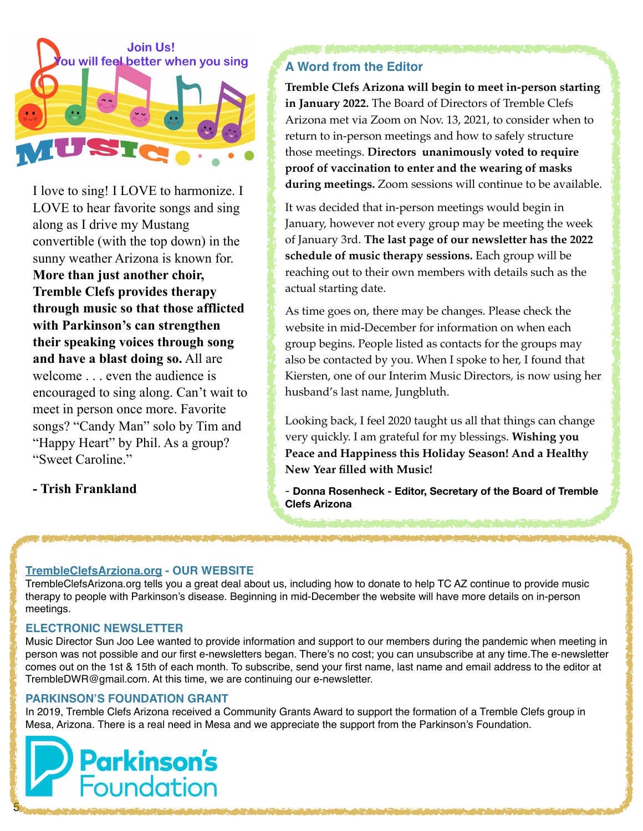

I love to sing! I LOVE to harmonize. I LOVE to hear favorite songs and sing along as I drive my Mustang convertible (with the top down) in the sunny weather Arizona is known for. **More than just another choir, Tremble Clefs provides therapy through music so that those afflicted with Parkinson's can strengthen their speaking voices through song and have a blast doing so.** All are welcome . . . even the audience is encouraged to sing along. Can't wait to meet in person once more. Favorite songs? "Candy Man" solo by Tim and "Happy Heart" by Phil. As a group? "Sweet Caroline."

**- Trish Frankland**

# **A Word from the Editor**

**Tremble Clefs Arizona will begin to meet in-person starting in January 2022.** The Board of Directors of Tremble Clefs Arizona met via Zoom on Nov. 13, 2021, to consider when to return to in-person meetings and how to safely structure those meetings. **Directors unanimously voted to require proof of vaccination to enter and the wearing of masks during meetings.** Zoom sessions will continue to be available.

It was decided that in-person meetings would begin in January, however not every group may be meeting the week of January 3rd. **The last page of our newsletter has the 2022 schedule of music therapy sessions.** Each group will be reaching out to their own members with details such as the actual starting date.

As time goes on, there may be changes. Please check the website in mid-December for information on when each group begins. People listed as contacts for the groups may also be contacted by you. When I spoke to her, I found that Kiersten, one of our Interim Music Directors, is now using her husband's last name, Jungbluth.

Looking back, I feel 2020 taught us all that things can change very quickly. I am grateful for my blessings. **Wishing you Peace and Happiness this Holiday Season! And a Healthy New Year filled with Music!**

- **Donna Rosenheck - Editor, Secretary of the Board of Tremble Clefs Arizona**

# **[TrembleClefsArziona.org](http://TrembleClefsArziona.org) - OUR WEBSITE**

TrembleClefsArizona.org tells you a great deal about us, including how to donate to help TC AZ continue to provide music therapy to people with Parkinson's disease. Beginning in mid-December the website will have more details on in-person meetings.

#### **ELECTRONIC NEWSLETTER**

Music Director Sun Joo Lee wanted to provide information and support to our members during the pandemic when meeting in person was not possible and our first e-newsletters began. There's no cost; you can unsubscribe at any time.The e-newsletter comes out on the 1st & 15th of each month. To subscribe, send your first name, last name and email address to the editor at TrembleDWR@gmail.com. At this time, we are continuing our e-newsletter.

#### **PARKINSON'S FOUNDATION GRANT**

In 2019, Tremble Clefs Arizona received a Community Grants Award to support the formation of a Tremble Clefs group in Mesa, Arizona. There is a real need in Mesa and we appreciate the support from the Parkinson's Foundation.